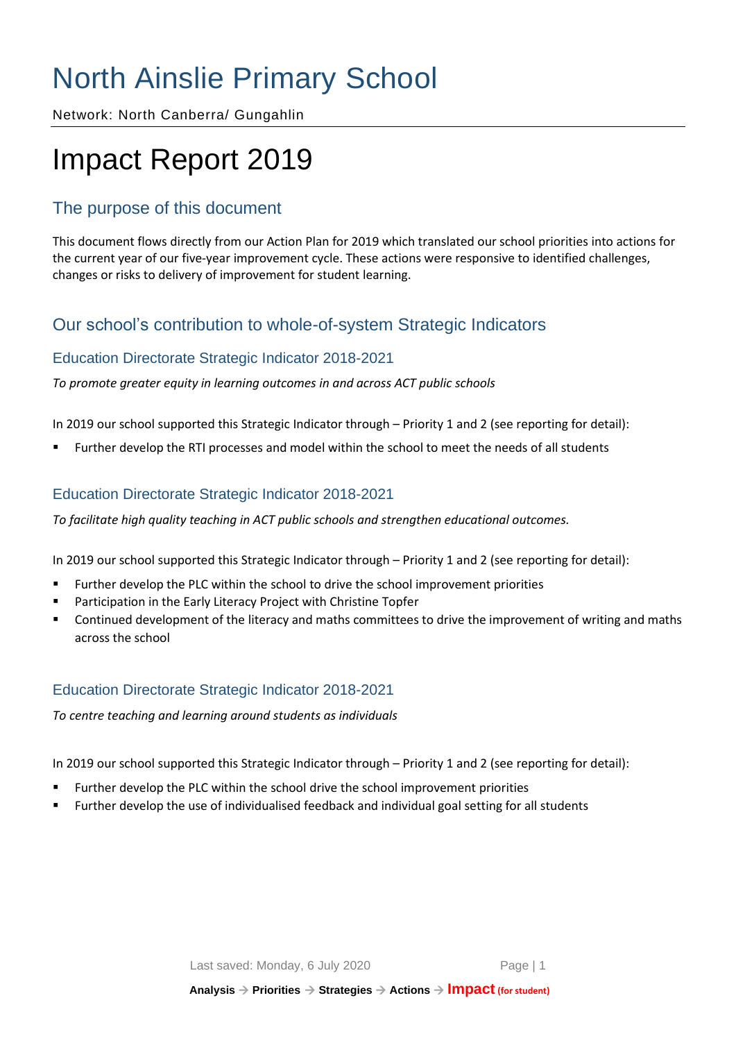# North Ainslie Primary School

Network: North Canberra/ Gungahlin

# Impact Report 2019

# The purpose of this document

This document flows directly from our Action Plan for 2019 which translated our school priorities into actions for the current year of our five-year improvement cycle. These actions were responsive to identified challenges, changes or risks to delivery of improvement for student learning.

# Our school's contribution to whole-of-system Strategic Indicators

## Education Directorate Strategic Indicator 2018-2021

*To promote greater equity in learning outcomes in and across ACT public schools*

In 2019 our school supported this Strategic Indicator through – Priority 1 and 2 (see reporting for detail):

Further develop the RTI processes and model within the school to meet the needs of all students

## Education Directorate Strategic Indicator 2018-2021

*To facilitate high quality teaching in ACT public schools and strengthen educational outcomes.*

In 2019 our school supported this Strategic Indicator through – Priority 1 and 2 (see reporting for detail):

- **EXECT** Further develop the PLC within the school to drive the school improvement priorities
- Participation in the Early Literacy Project with Christine Topfer
- Continued development of the literacy and maths committees to drive the improvement of writing and maths across the school

## Education Directorate Strategic Indicator 2018-2021

*To centre teaching and learning around students as individuals*

In 2019 our school supported this Strategic Indicator through – Priority 1 and 2 (see reporting for detail):

- Further develop the PLC within the school drive the school improvement priorities
- Further develop the use of individualised feedback and individual goal setting for all students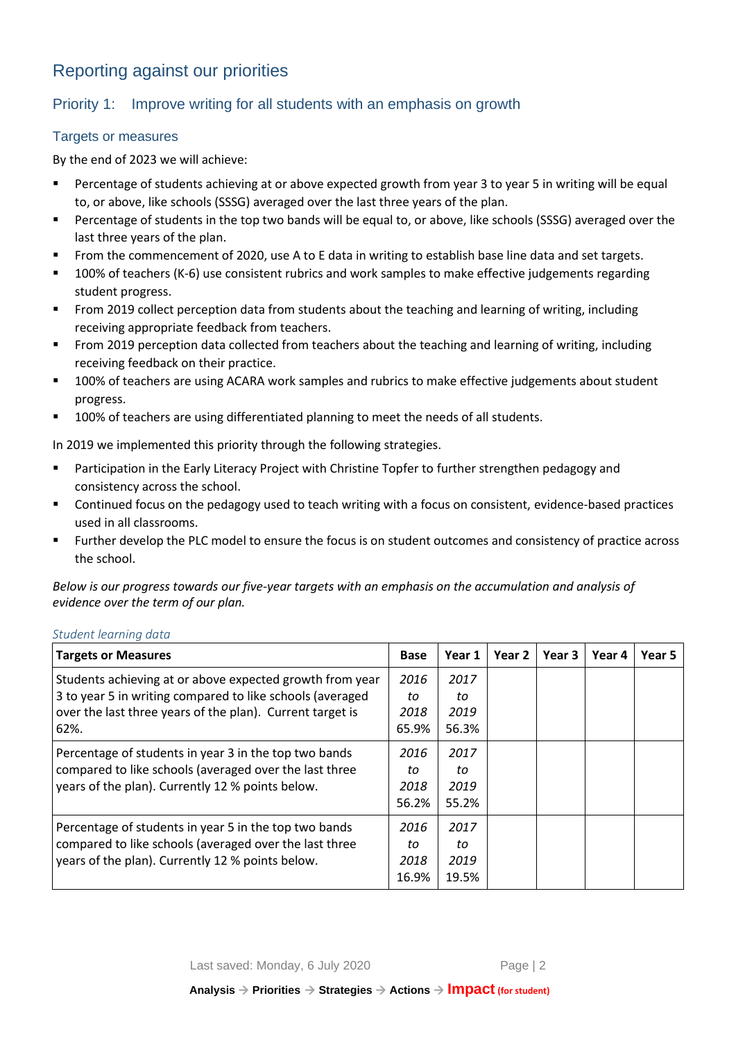# Reporting against our priorities

## Priority 1: Improve writing for all students with an emphasis on growth

#### **Targets or measures**

By the end of 2023 we will achieve:

- Percentage of students achieving at or above expected growth from year 3 to year 5 in writing will be equal to, or above, like schools (SSSG) averaged over the last three years of the plan.
- Percentage of students in the top two bands will be equal to, or above, like schools (SSSG) averaged over the last three years of the plan.
- From the commencement of 2020, use A to E data in writing to establish base line data and set targets.
- 100% of teachers (K-6) use consistent rubrics and work samples to make effective judgements regarding student progress.
- From 2019 collect perception data from students about the teaching and learning of writing, including receiving appropriate feedback from teachers.
- From 2019 perception data collected from teachers about the teaching and learning of writing, including receiving feedback on their practice.
- 100% of teachers are using ACARA work samples and rubrics to make effective judgements about student progress.
- 100% of teachers are using differentiated planning to meet the needs of all students.

In 2019 we implemented this priority through the following strategies.

- **■** Participation in the Early Literacy Project with Christine Topfer to further strengthen pedagogy and consistency across the school.
- Continued focus on the pedagogy used to teach writing with a focus on consistent, evidence-based practices used in all classrooms.
- Further develop the PLC model to ensure the focus is on student outcomes and consistency of practice across the school.

*Below is our progress towards our five-year targets with an emphasis on the accumulation and analysis of evidence over the term of our plan.*

#### *Student learning data*

| <b>Targets or Measures</b>                                | <b>Base</b> | Year 1 | Year 2 | Year 3 | Year 4 | Year 5 |
|-----------------------------------------------------------|-------------|--------|--------|--------|--------|--------|
| Students achieving at or above expected growth from year  | 2016        | 2017   |        |        |        |        |
| 3 to year 5 in writing compared to like schools (averaged | to          | to     |        |        |        |        |
| over the last three years of the plan). Current target is | 2018        | 2019   |        |        |        |        |
| 62%.                                                      | 65.9%       | 56.3%  |        |        |        |        |
| Percentage of students in year 3 in the top two bands     | 2016        | 2017   |        |        |        |        |
| compared to like schools (averaged over the last three    | to          | to     |        |        |        |        |
| years of the plan). Currently 12 % points below.          | 2018        | 2019   |        |        |        |        |
|                                                           | 56.2%       | 55.2%  |        |        |        |        |
| Percentage of students in year 5 in the top two bands     | 2016        | 2017   |        |        |        |        |
| compared to like schools (averaged over the last three    | to          | to     |        |        |        |        |
| years of the plan). Currently 12 % points below.          | 2018        | 2019   |        |        |        |        |
|                                                           | 16.9%       | 19.5%  |        |        |        |        |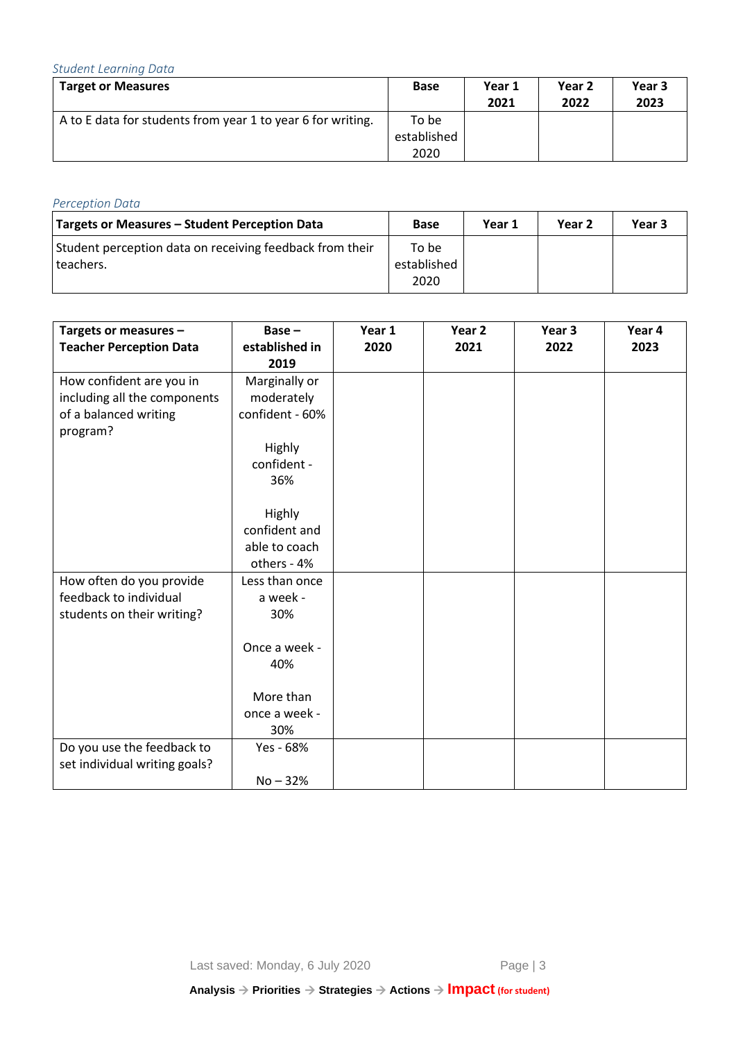## *Student Learning Data*

| <b>Target or Measures</b>                                   | <b>Base</b> | Year 1 | Year 2 | Year 3 |
|-------------------------------------------------------------|-------------|--------|--------|--------|
|                                                             |             | 2021   | 2022   | 2023   |
| A to E data for students from year 1 to year 6 for writing. | To be       |        |        |        |
|                                                             | established |        |        |        |
|                                                             | 2020        |        |        |        |

## *Perception Data*

| Targets or Measures - Student Perception Data                         | Base                         | Year 1 | Year 2 | Year 3 |
|-----------------------------------------------------------------------|------------------------------|--------|--------|--------|
| Student perception data on receiving feedback from their<br>teachers. | To be<br>established<br>2020 |        |        |        |

| Targets or measures -<br><b>Teacher Perception Data</b>                                       | $Base -$<br>established in<br>2019                                             | Year 1<br>2020 | Year <sub>2</sub><br>2021 | Year <sub>3</sub><br>2022 | Year 4<br>2023 |
|-----------------------------------------------------------------------------------------------|--------------------------------------------------------------------------------|----------------|---------------------------|---------------------------|----------------|
| How confident are you in<br>including all the components<br>of a balanced writing<br>program? | Marginally or<br>moderately<br>confident - 60%<br>Highly<br>confident -<br>36% |                |                           |                           |                |
|                                                                                               | Highly<br>confident and<br>able to coach<br>others - 4%                        |                |                           |                           |                |
| How often do you provide<br>feedback to individual<br>students on their writing?              | Less than once<br>a week -<br>30%                                              |                |                           |                           |                |
|                                                                                               | Once a week -<br>40%<br>More than                                              |                |                           |                           |                |
|                                                                                               | once a week -<br>30%                                                           |                |                           |                           |                |
| Do you use the feedback to<br>set individual writing goals?                                   | Yes - 68%<br>$No - 32%$                                                        |                |                           |                           |                |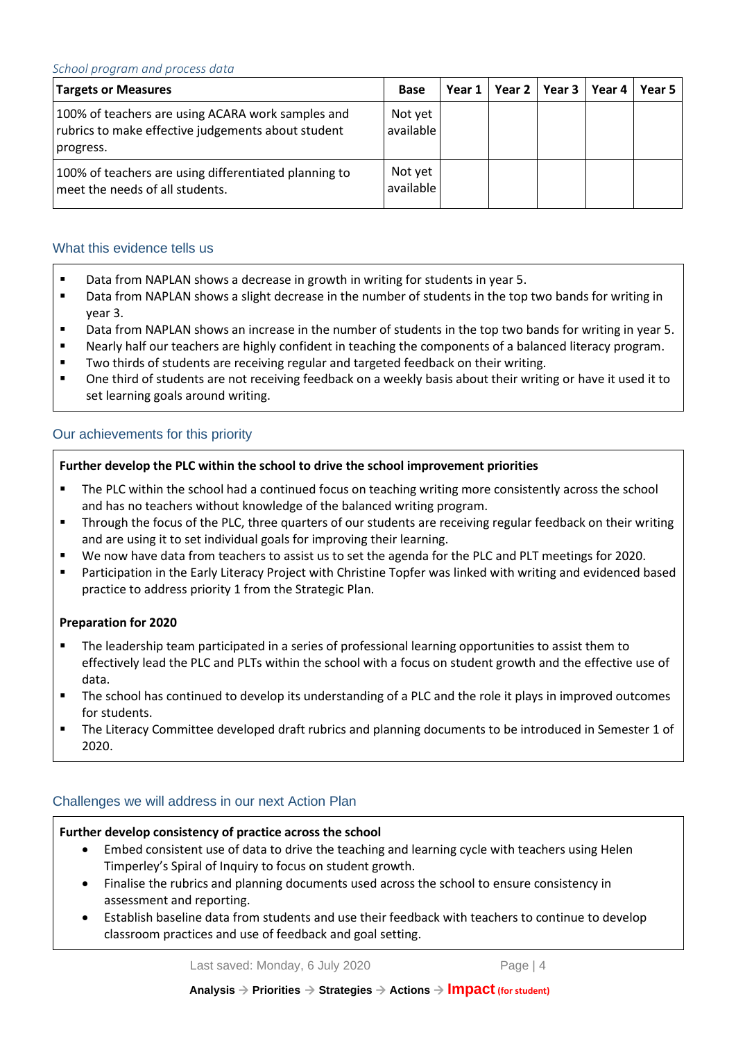| <b>Targets or Measures</b>                                                                                           | <b>Base</b>          | Year 1 | Year 2 $\parallel$ | Year 3   Year 4 | Year 5 |
|----------------------------------------------------------------------------------------------------------------------|----------------------|--------|--------------------|-----------------|--------|
| 100% of teachers are using ACARA work samples and<br>rubrics to make effective judgements about student<br>progress. | Not yet<br>available |        |                    |                 |        |
| 100% of teachers are using differentiated planning to<br>meet the needs of all students.                             | Not yet<br>available |        |                    |                 |        |

#### What this evidence tells us

- Data from NAPLAN shows a decrease in growth in writing for students in year 5.
- Data from NAPLAN shows a slight decrease in the number of students in the top two bands for writing in year 3.
- Data from NAPLAN shows an increase in the number of students in the top two bands for writing in year 5.
- Nearly half our teachers are highly confident in teaching the components of a balanced literacy program.
- Two thirds of students are receiving regular and targeted feedback on their writing.
- One third of students are not receiving feedback on a weekly basis about their writing or have it used it to set learning goals around writing.

#### Our achievements for this priority

#### **Further develop the PLC within the school to drive the school improvement priorities**

- The PLC within the school had a continued focus on teaching writing more consistently across the school and has no teachers without knowledge of the balanced writing program.
- Through the focus of the PLC, three quarters of our students are receiving regular feedback on their writing and are using it to set individual goals for improving their learning.
- We now have data from teachers to assist us to set the agenda for the PLC and PLT meetings for 2020.
- Participation in the Early Literacy Project with Christine Topfer was linked with writing and evidenced based practice to address priority 1 from the Strategic Plan.

#### **Preparation for 2020**

- The leadership team participated in a series of professional learning opportunities to assist them to effectively lead the PLC and PLTs within the school with a focus on student growth and the effective use of data.
- The school has continued to develop its understanding of a PLC and the role it plays in improved outcomes for students.
- The Literacy Committee developed draft rubrics and planning documents to be introduced in Semester 1 of 2020.

### Challenges we will address in our next Action Plan

#### **Further develop consistency of practice across the school**

- Embed consistent use of data to drive the teaching and learning cycle with teachers using Helen Timperley's Spiral of Inquiry to focus on student growth.
- Finalise the rubrics and planning documents used across the school to ensure consistency in assessment and reporting.
- Establish baseline data from students and use their feedback with teachers to continue to develop classroom practices and use of feedback and goal setting.

Last saved: Monday, 6 July 2020 Page | 4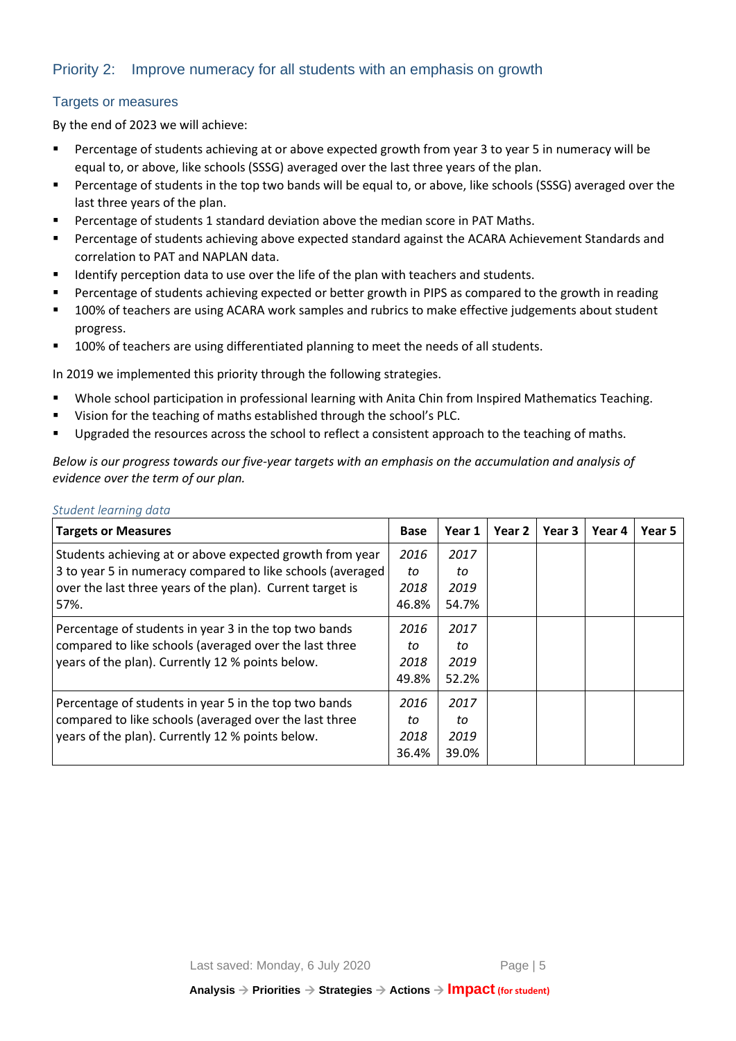### Priority 2: Improve numeracy for all students with an emphasis on growth

#### Targets or measures

By the end of 2023 we will achieve:

- Percentage of students achieving at or above expected growth from year 3 to year 5 in numeracy will be equal to, or above, like schools (SSSG) averaged over the last three years of the plan.
- Percentage of students in the top two bands will be equal to, or above, like schools (SSSG) averaged over the last three years of the plan.
- Percentage of students 1 standard deviation above the median score in PAT Maths.
- Percentage of students achieving above expected standard against the ACARA Achievement Standards and correlation to PAT and NAPLAN data.
- Identify perception data to use over the life of the plan with teachers and students.
- **•** Percentage of students achieving expected or better growth in PIPS as compared to the growth in reading
- 100% of teachers are using ACARA work samples and rubrics to make effective judgements about student progress.
- 100% of teachers are using differentiated planning to meet the needs of all students.

In 2019 we implemented this priority through the following strategies.

- Whole school participation in professional learning with Anita Chin from Inspired Mathematics Teaching.
- Vision for the teaching of maths established through the school's PLC.
- **•** Upgraded the resources across the school to reflect a consistent approach to the teaching of maths.

*Below is our progress towards our five-year targets with an emphasis on the accumulation and analysis of evidence over the term of our plan.*

#### *Student learning data*

| <b>Targets or Measures</b>                                 | <b>Base</b> | Year 1 | Year 2 | Year 3 | Year 4 | Year 5 |
|------------------------------------------------------------|-------------|--------|--------|--------|--------|--------|
| Students achieving at or above expected growth from year   | 2016        | 2017   |        |        |        |        |
| 3 to year 5 in numeracy compared to like schools (averaged | to          | to     |        |        |        |        |
| over the last three years of the plan). Current target is  | 2018        | 2019   |        |        |        |        |
| 57%.                                                       | 46.8%       | 54.7%  |        |        |        |        |
| Percentage of students in year 3 in the top two bands      | 2016        | 2017   |        |        |        |        |
| compared to like schools (averaged over the last three     | to          | to     |        |        |        |        |
| years of the plan). Currently 12 % points below.           | 2018        | 2019   |        |        |        |        |
|                                                            | 49.8%       | 52.2%  |        |        |        |        |
| Percentage of students in year 5 in the top two bands      | 2016        | 2017   |        |        |        |        |
| compared to like schools (averaged over the last three     | to          | to     |        |        |        |        |
| years of the plan). Currently 12 % points below.           | 2018        | 2019   |        |        |        |        |
|                                                            | 36.4%       | 39.0%  |        |        |        |        |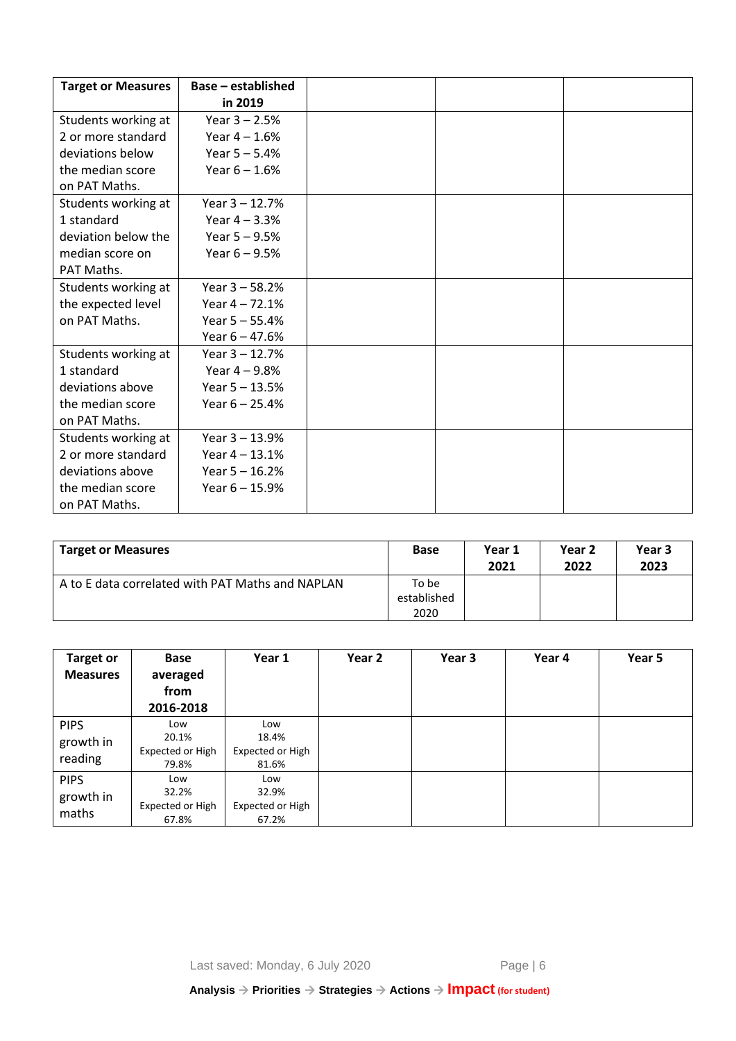| <b>Target or Measures</b> | <b>Base - established</b> |  |  |
|---------------------------|---------------------------|--|--|
|                           | in 2019                   |  |  |
| Students working at       | Year $3 - 2.5%$           |  |  |
| 2 or more standard        | Year $4 - 1.6%$           |  |  |
| deviations below          | Year $5 - 5.4%$           |  |  |
| the median score          | Year $6 - 1.6%$           |  |  |
| on PAT Maths.             |                           |  |  |
| Students working at       | Year $3 - 12.7%$          |  |  |
| 1 standard                | Year $4 - 3.3%$           |  |  |
| deviation below the       | Year $5 - 9.5%$           |  |  |
| median score on           | Year $6 - 9.5%$           |  |  |
| PAT Maths.                |                           |  |  |
| Students working at       | Year $3 - 58.2%$          |  |  |
| the expected level        | Year $4 - 72.1%$          |  |  |
| on PAT Maths.             | Year $5 - 55.4%$          |  |  |
|                           | Year $6 - 47.6%$          |  |  |
| Students working at       | Year $3 - 12.7%$          |  |  |
| 1 standard                | Year $4 - 9.8%$           |  |  |
| deviations above          | Year $5 - 13.5%$          |  |  |
| the median score          | Year $6 - 25.4%$          |  |  |
| on PAT Maths.             |                           |  |  |
| Students working at       | Year $3 - 13.9%$          |  |  |
| 2 or more standard        | Year $4 - 13.1%$          |  |  |
| deviations above          | Year $5 - 16.2%$          |  |  |
| the median score          | Year $6 - 15.9%$          |  |  |
| on PAT Maths.             |                           |  |  |

| <b>Target or Measures</b>                        | <b>Base</b>                  | Year 1<br>2021 | Year 2<br>2022 | Year 3<br>2023 |
|--------------------------------------------------|------------------------------|----------------|----------------|----------------|
| A to E data correlated with PAT Maths and NAPLAN | To be<br>established<br>2020 |                |                |                |

| <b>Target or</b><br><b>Measures</b> | <b>Base</b><br>averaged<br>from<br>2016-2018 | Year 1                                    | Year 2 | Year 3 | Year 4 | Year 5 |
|-------------------------------------|----------------------------------------------|-------------------------------------------|--------|--------|--------|--------|
| <b>PIPS</b><br>growth in<br>reading | Low<br>20.1%<br>Expected or High<br>79.8%    | Low<br>18.4%<br>Expected or High<br>81.6% |        |        |        |        |
| <b>PIPS</b><br>growth in<br>maths   | Low<br>32.2%<br>Expected or High<br>67.8%    | Low<br>32.9%<br>Expected or High<br>67.2% |        |        |        |        |

Last saved: Monday, 6 July 2020 Page | 6

**Analysis** → **Priorities** → **Strategies** → **Actions** → **Impact (for student)**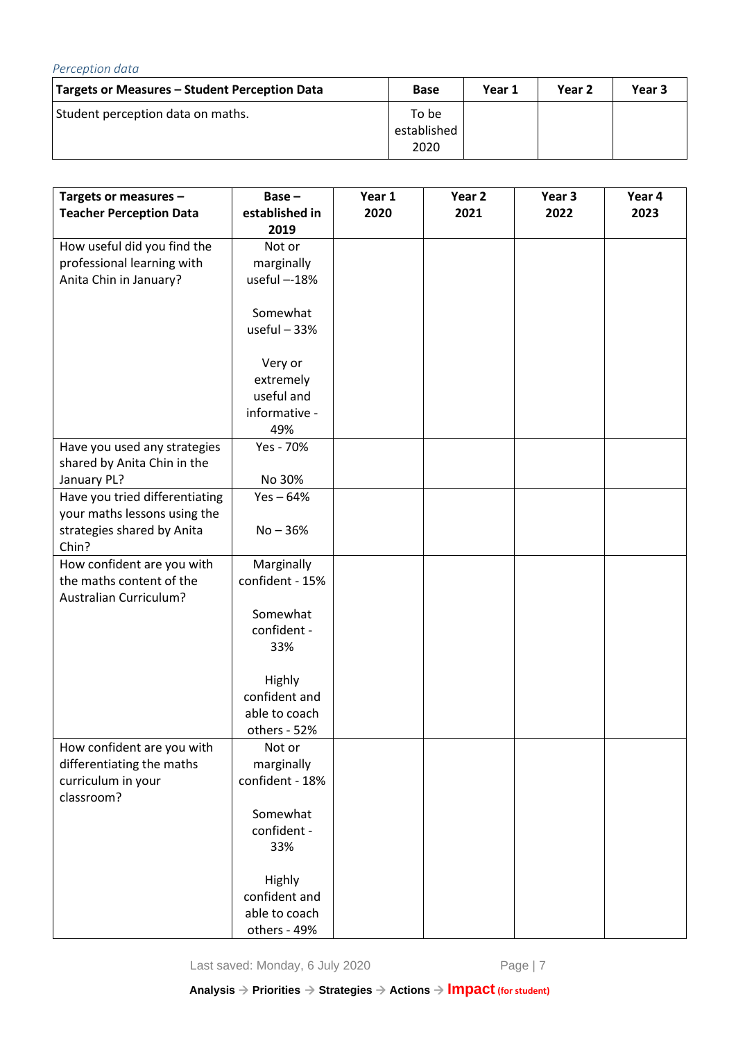| Perception data                               |                              |        |                   |        |
|-----------------------------------------------|------------------------------|--------|-------------------|--------|
| Targets or Measures – Student Perception Data | <b>Base</b>                  | Year 1 | Year <sub>2</sub> | Year 3 |
| Student perception data on maths.             | To be<br>established<br>2020 |        |                   |        |

| Targets or measures -          | Base-           | Year 1 | Year <sub>2</sub> | Year 3 | Year 4 |
|--------------------------------|-----------------|--------|-------------------|--------|--------|
| <b>Teacher Perception Data</b> | established in  | 2020   | 2021              | 2022   | 2023   |
|                                | 2019            |        |                   |        |        |
| How useful did you find the    | Not or          |        |                   |        |        |
| professional learning with     | marginally      |        |                   |        |        |
| Anita Chin in January?         | useful --18%    |        |                   |        |        |
|                                |                 |        |                   |        |        |
|                                | Somewhat        |        |                   |        |        |
|                                | useful $-33%$   |        |                   |        |        |
|                                |                 |        |                   |        |        |
|                                | Very or         |        |                   |        |        |
|                                | extremely       |        |                   |        |        |
|                                | useful and      |        |                   |        |        |
|                                | informative -   |        |                   |        |        |
|                                | 49%             |        |                   |        |        |
| Have you used any strategies   | Yes - 70%       |        |                   |        |        |
| shared by Anita Chin in the    |                 |        |                   |        |        |
| January PL?                    | No 30%          |        |                   |        |        |
| Have you tried differentiating | $Yes - 64%$     |        |                   |        |        |
| your maths lessons using the   |                 |        |                   |        |        |
| strategies shared by Anita     | $No - 36%$      |        |                   |        |        |
| Chin?                          |                 |        |                   |        |        |
| How confident are you with     | Marginally      |        |                   |        |        |
| the maths content of the       | confident - 15% |        |                   |        |        |
| <b>Australian Curriculum?</b>  |                 |        |                   |        |        |
|                                | Somewhat        |        |                   |        |        |
|                                | confident -     |        |                   |        |        |
|                                | 33%             |        |                   |        |        |
|                                |                 |        |                   |        |        |
|                                | <b>Highly</b>   |        |                   |        |        |
|                                | confident and   |        |                   |        |        |
|                                | able to coach   |        |                   |        |        |
|                                | others - 52%    |        |                   |        |        |
| How confident are you with     | Not or          |        |                   |        |        |
| differentiating the maths      | marginally      |        |                   |        |        |
| curriculum in your             | confident - 18% |        |                   |        |        |
| classroom?                     |                 |        |                   |        |        |
|                                | Somewhat        |        |                   |        |        |
|                                | confident -     |        |                   |        |        |
|                                | 33%             |        |                   |        |        |
|                                |                 |        |                   |        |        |
|                                | <b>Highly</b>   |        |                   |        |        |
|                                | confident and   |        |                   |        |        |
|                                | able to coach   |        |                   |        |        |
|                                | others - 49%    |        |                   |        |        |

Last saved: Monday, 6 July 2020 Page | 7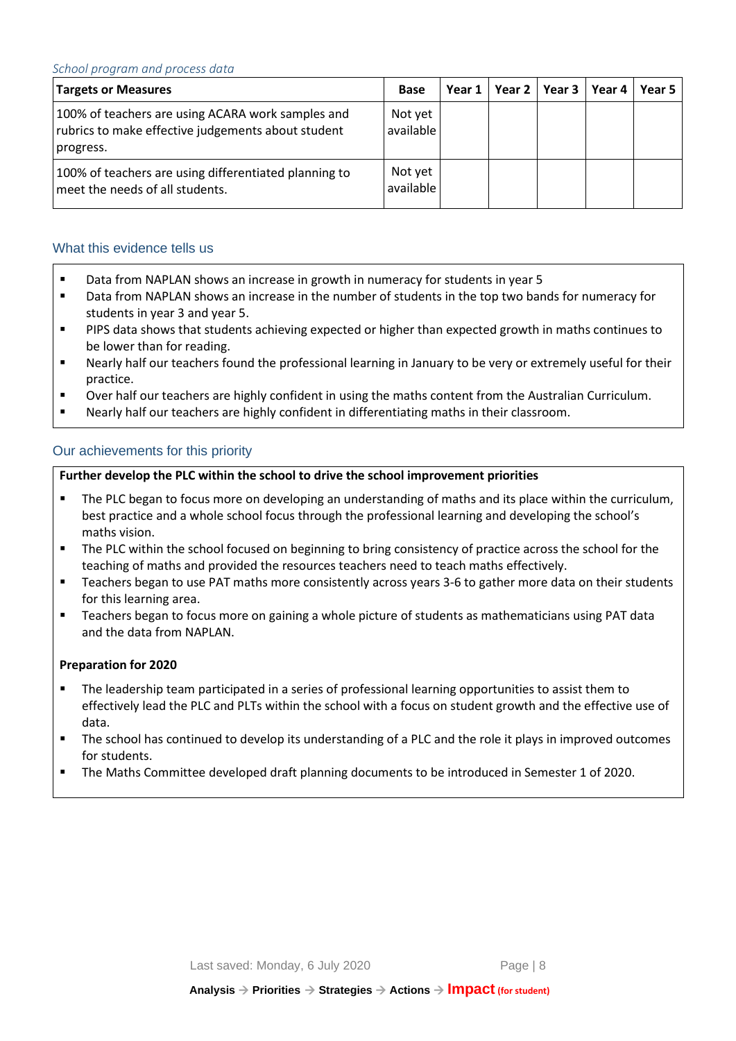| <b>Targets or Measures</b>                                                                                           | <b>Base</b>          | Year 1 | Year 2   Year 3   Year 4 | Year 5 |
|----------------------------------------------------------------------------------------------------------------------|----------------------|--------|--------------------------|--------|
| 100% of teachers are using ACARA work samples and<br>rubrics to make effective judgements about student<br>progress. | Not yet<br>available |        |                          |        |
| 100% of teachers are using differentiated planning to<br>meet the needs of all students.                             | Not yet<br>available |        |                          |        |

#### What this evidence tells us

- Data from NAPLAN shows an increase in growth in numeracy for students in year 5
- Data from NAPLAN shows an increase in the number of students in the top two bands for numeracy for students in year 3 and year 5.
- **PIPS data shows that students achieving expected or higher than expected growth in maths continues to** be lower than for reading.
- Nearly half our teachers found the professional learning in January to be very or extremely useful for their practice.
- Over half our teachers are highly confident in using the maths content from the Australian Curriculum.
- Nearly half our teachers are highly confident in differentiating maths in their classroom.

#### Our achievements for this priority

#### **Further develop the PLC within the school to drive the school improvement priorities**

- The PLC began to focus more on developing an understanding of maths and its place within the curriculum, best practice and a whole school focus through the professional learning and developing the school's maths vision.
- The PLC within the school focused on beginning to bring consistency of practice across the school for the teaching of maths and provided the resources teachers need to teach maths effectively.
- Teachers began to use PAT maths more consistently across years 3-6 to gather more data on their students for this learning area.
- Teachers began to focus more on gaining a whole picture of students as mathematicians using PAT data and the data from NAPLAN.

#### **Preparation for 2020**

- The leadership team participated in a series of professional learning opportunities to assist them to effectively lead the PLC and PLTs within the school with a focus on student growth and the effective use of data.
- The school has continued to develop its understanding of a PLC and the role it plays in improved outcomes for students.
- The Maths Committee developed draft planning documents to be introduced in Semester 1 of 2020.